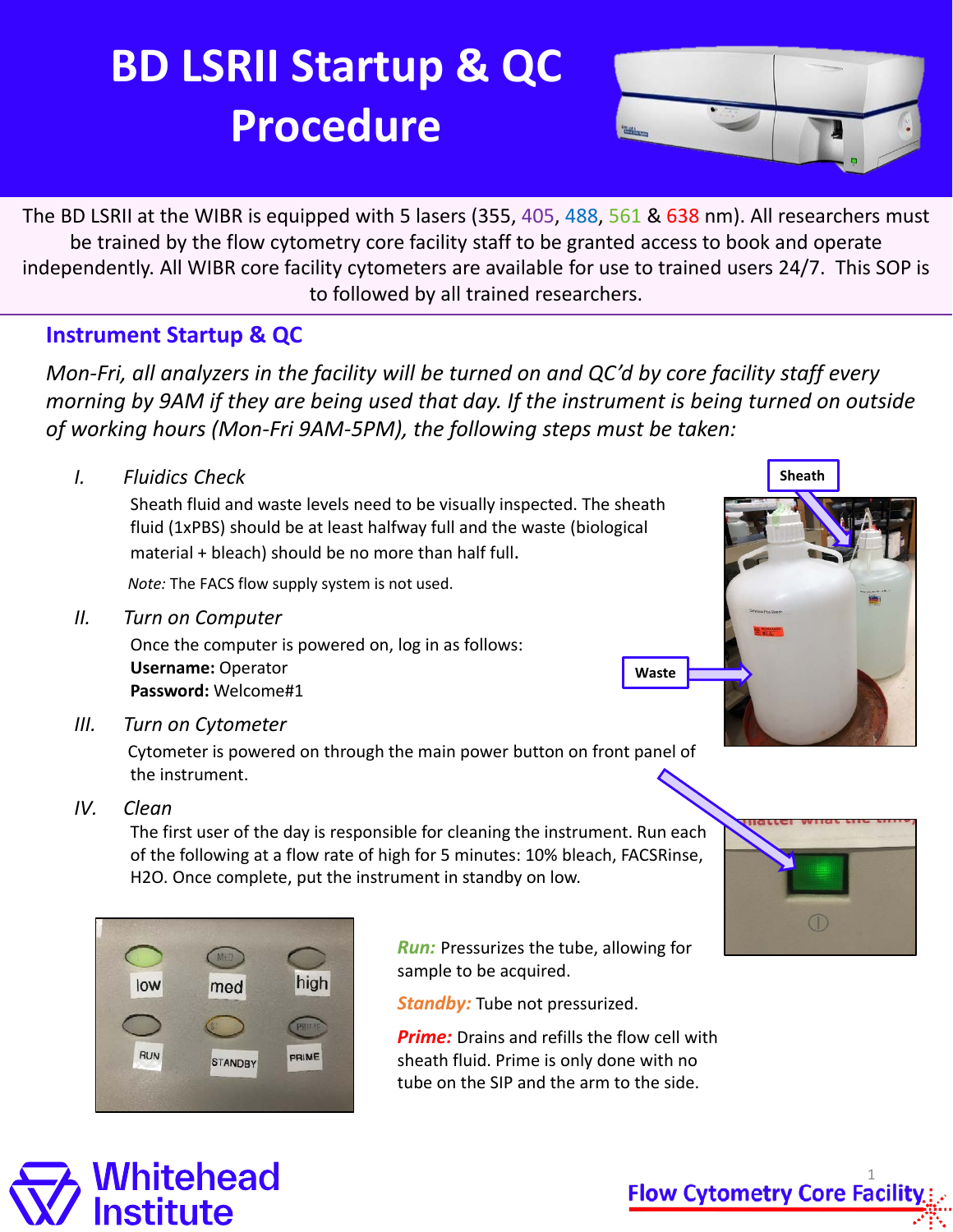## **BD LSRII Startup & QC Procedure**



independently. All WIBR core facility cytometers are available for use to trained users 24/7. This SOP is The BD LSRII at the WIBR is equipped with 5 lasers (355, 405, 488, 561 & 638 nm). All researchers must be trained by the flow cytometry core facility staff to be granted access to book and operate to followed by all trained researchers.

#### **Instrument Startup & QC**

*Mon-Fri, all analyzers in the facility will be turned on and QC'd by core facility staff every morning by 9AM if they are being used that day. If the instrument is being turned on outside of working hours (Mon-Fri 9AM-5PM), the following steps must be taken:* 

*I. Fluidics Check*

Sheath fluid and waste levels need to be visually inspected. The sheath fluid (1xPBS) should be at least halfway full and the waste (biological material + bleach) should be no more than half full.

*Note:* The FACS flow supply system is not used.

*II. Turn on Computer*

Once the computer is powered on, log in as follows: **Username:** Operator **Password:** Welcome#1

*III. Turn on Cytometer*

Cytometer is powered on through the main power button on front panel of the instrument.

*IV. Clean*

The first user of the day is responsible for cleaning the instrument. Run each of the following at a flow rate of high for 5 minutes: 10% bleach, FACSRinse, H2O. Once complete, put the instrument in standby on low.



*Run:* Pressurizes the tube, allowing for sample to be acquired.

**Waste**

*Standby:* Tube not pressurized.

**Prime:** Drains and refills the flow cell with sheath fluid. Prime is only done with no tube on the SIP and the arm to the side.



**Sheath**



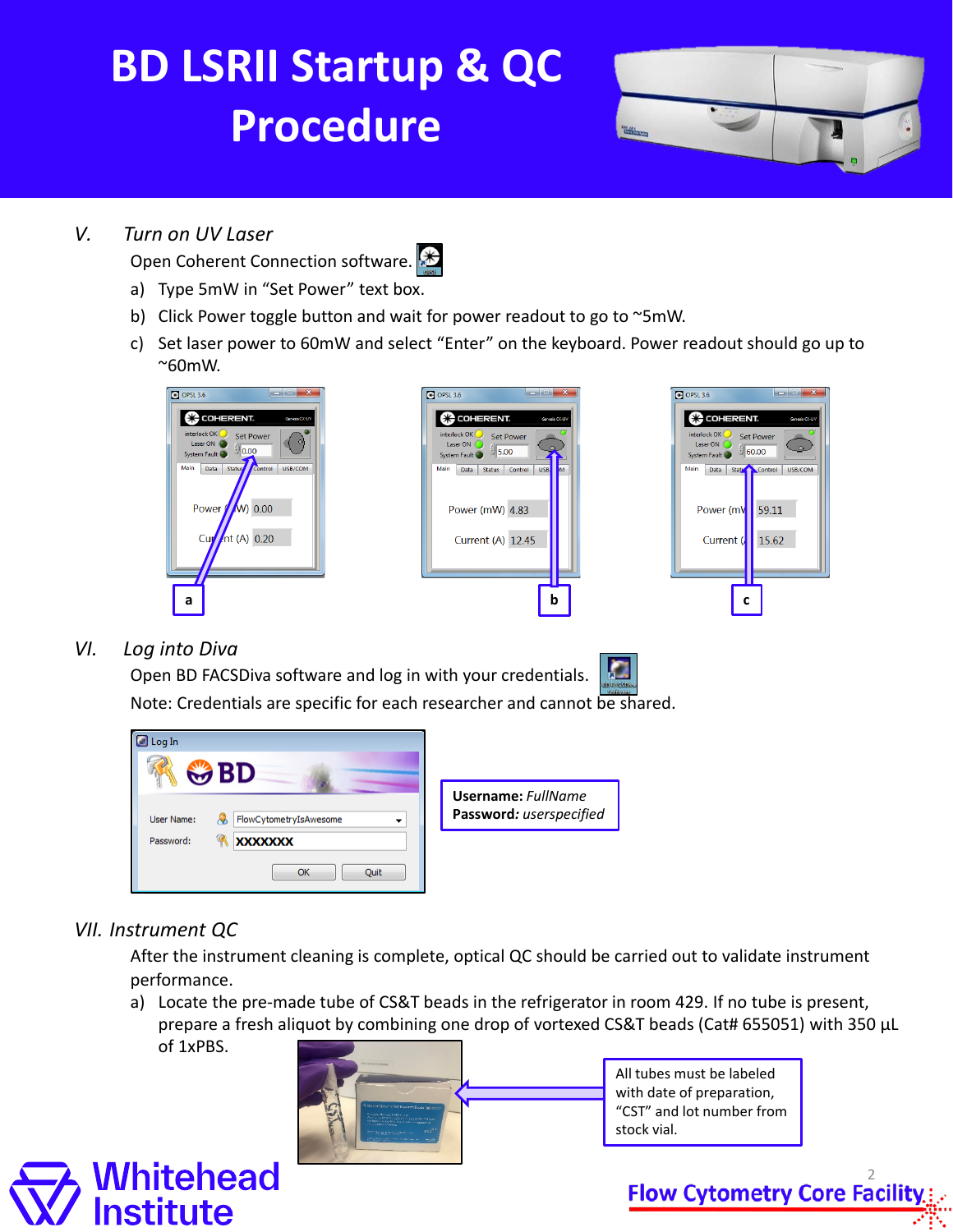# **BD LSRII Startup & QC Procedure**

### *V. Turn on UV Laser*

Open Coherent Connection software.

- a) Type 5mW in "Set Power" text box.
- b) Click Power toggle button and wait for power readout to go to ~5mW.
- c) Set laser power to 60mW and select "Enter" on the keyboard. Power readout should go up to ~60mW.







*VI. Log into Diva*



Note: Credentials are specific for each researcher and cannot be shared.



#### *VII. Instrument QC*

After the instrument cleaning is complete, optical QC should be carried out to validate instrument performance.

a) Locate the pre-made tube of CS&T beads in the refrigerator in room 429. If no tube is present, prepare a fresh aliquot by combining one drop of vortexed CS&T beads (Cat# 655051) with 350 µL of 1xPBS.



All tubes must be labeled with date of preparation, "CST" and lot number from stock vial.



**Flow Cytometry Core Facility**